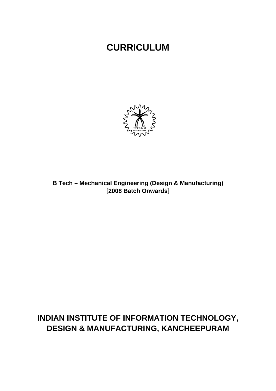# **CURRICULUM**



B Tech - Mechanical Engineering (Design & Manufacturing) [2008 Batch Onwards]

# INDIAN INSTITUTE OF INFORMATION TECHNOLOGY, **DESIGN & MANUFACTURING, KANCHEEPURAM**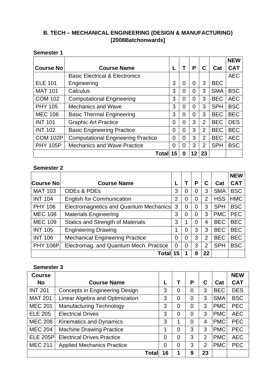## **B. TECH – MECHANICAL ENGINEERING (DESIGN & MANUFACTURING) [2008Batchonwards]**

## **Semester 1**

|                  |                                           |                |                |                |                |            | <b>NEW</b> |
|------------------|-------------------------------------------|----------------|----------------|----------------|----------------|------------|------------|
| <b>Course No</b> | <b>Course Name</b>                        |                |                | P              | C              | Cat        | <b>CAT</b> |
|                  | <b>Basic Electrical &amp; Electronics</b> |                |                |                |                |            | <b>AEC</b> |
| <b>ELE 101</b>   | Engineering                               | 3              | 0              | $\Omega$       | 3              | <b>BEC</b> |            |
| <b>MAT 101</b>   | Calculus                                  | 3              | $\overline{0}$ | $\overline{0}$ | 3              | <b>SMA</b> | <b>BSC</b> |
| <b>COM 102</b>   | <b>Computational Engineering</b>          | 3              | $\overline{0}$ | $\Omega$       | 3              | <b>BEC</b> | <b>AEC</b> |
| <b>PHY 105</b>   | <b>Mechanics and Wave</b>                 | 3              | $\overline{0}$ | $\Omega$       | 3              | <b>SPH</b> | <b>BSC</b> |
| <b>MEC 106</b>   | <b>Basic Thermal Engineering</b>          | 3              | $\overline{0}$ | $\Omega$       | 3              | <b>BEC</b> | <b>BEC</b> |
| <b>INT 101</b>   | <b>Graphic Art Practice</b>               | 0              | $\overline{0}$ | 3              | $\overline{2}$ | <b>BEC</b> | <b>DES</b> |
| <b>INT 102</b>   | <b>Basic Engineering Practice</b>         | 0              | $\overline{0}$ | 3              | $\overline{2}$ | <b>BEC</b> | <b>BEC</b> |
| <b>COM 102P</b>  | <b>Computational Engineering Practice</b> | $\overline{0}$ | $\Omega$       | 3              | 2              | <b>BEC</b> | <b>AEC</b> |
| <b>PHY 105P</b>  | <b>Mechanics and Wave Practice</b>        | $\overline{0}$ | $\Omega$       | 3              | 2              | <b>SPH</b> | <b>BSC</b> |
|                  | Total 15                                  |                | $\bf{0}$       | 12             | 23             |            |            |

### **Semester 2**

|                  |                                          |                |   |   |                |            | <b>NEW</b> |
|------------------|------------------------------------------|----------------|---|---|----------------|------------|------------|
| <b>Course No</b> | <b>Course Name</b>                       |                |   | Р | C              | Cat        | <b>CAT</b> |
| <b>MAT 103</b>   | <b>ODEs &amp; PDES</b>                   | 3              | 0 | 0 | 3              | <b>SMA</b> | <b>BSC</b> |
| <b>INT 104</b>   | <b>English for Communication</b>         | $\overline{2}$ | 0 | 0 | $\overline{2}$ | <b>HSS</b> | <b>HMC</b> |
| <b>PHY 106</b>   | Electromagnetics and Quantum Mechanics   | 3              | 0 | 0 | 3              | <b>SPH</b> | <b>BSC</b> |
| <b>MEC 108</b>   | <b>Materials Engineering</b>             | 3              | 0 | 0 | 3              | <b>PMC</b> | <b>PEC</b> |
| <b>MEC 109</b>   | <b>Statics and Strength of Materials</b> | 3              | 1 | 0 | 4              | <b>BEC</b> | <b>BEC</b> |
| <b>INT 105</b>   | <b>Engineering Drawing</b>               | 1              | 0 | 3 | 3              | <b>BEC</b> | <b>BEC</b> |
| <b>INT 106</b>   | <b>Mechanical Engineering Practice</b>   | 0              | 0 | 3 | $\overline{2}$ | <b>BEC</b> | <b>BEC</b> |
| <b>PHY 106P</b>  | Electromag. and Quantum Mech. Practice   | $\overline{0}$ | 0 | 3 | 2              | <b>SPH</b> | <b>BSC</b> |
|                  | Total                                    | 15             |   | 9 | 22             |            |            |

## **Semester 3**

| <b>Course</b>   |                                       |    |   |                |                |            | <b>NEW</b> |
|-----------------|---------------------------------------|----|---|----------------|----------------|------------|------------|
| <b>No</b>       | <b>Course Name</b>                    |    |   | P              | C              | Cat        | <b>CAT</b> |
| <b>INT 201</b>  | <b>Concepts in Engineering Design</b> | 3  | 0 | 0              | 3              | <b>BEC</b> | <b>DES</b> |
| <b>MAT 201</b>  | Linear Algebra and Optimization       | 3  | 0 | 0              | 3              | <b>SMA</b> | <b>BSC</b> |
| <b>MEC 201</b>  | <b>Manufacturing Technology</b>       | 3  | 0 | $\overline{0}$ | 3              | <b>PMC</b> | <b>PEC</b> |
| <b>ELE 205</b>  | <b>Electrical Drives</b>              | 3  | 0 | 0              | 3              | <b>PMC</b> | <b>AEC</b> |
| <b>MEC 208</b>  | Kinematics and Dynamics               | 3  | 1 | 0              | 4              | <b>PMC</b> | <b>PEC</b> |
| <b>MEC 204</b>  | <b>Machine Drawing Practice</b>       | 1  | 0 | 3              | 3              | <b>PMC</b> | <b>PEC</b> |
| <b>ELE 205P</b> | <b>Electrical Drives Practice</b>     | 0  | 0 | 3              | $\overline{2}$ | <b>PMC</b> | <b>AEC</b> |
| <b>MEC 211</b>  | <b>Applied Mechanics Practice</b>     | 0  | 0 | 3              | $\overline{2}$ | <b>PMC</b> | <b>PEC</b> |
|                 | Total                                 | 16 |   | 9              | 23             |            |            |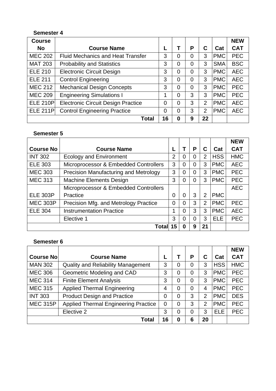## **Semester 4**

| <b>Course</b>   |                                           |    |   |                |                |            | <b>NEW</b> |
|-----------------|-------------------------------------------|----|---|----------------|----------------|------------|------------|
| <b>No</b>       | <b>Course Name</b>                        | L  |   | Р              | С              | Cat        | <b>CAT</b> |
| <b>MEC 202</b>  | <b>Fluid Mechanics and Heat Transfer</b>  | 3  | 0 | 0              | 3              | <b>PMC</b> | <b>PEC</b> |
| <b>MAT 203</b>  | <b>Probability and Statistics</b>         | 3  | 0 | 0              | 3              | <b>SMA</b> | <b>BSC</b> |
| <b>ELE 210</b>  | <b>Electronic Circuit Design</b>          | 3  | 0 | 0              | 3              | <b>PMC</b> | <b>AEC</b> |
| <b>ELE 211</b>  | <b>Control Engineering</b>                | 3  | 0 | 0              | 3              | <b>PMC</b> | <b>AEC</b> |
| <b>MEC 212</b>  | <b>Mechanical Design Concepts</b>         | 3  | 0 | $\overline{0}$ | 3              | <b>PMC</b> | <b>PEC</b> |
| <b>MEC 209</b>  | <b>Engineering Simulations I</b>          | 1  | 0 | 3              | 3              | <b>PMC</b> | <b>PEC</b> |
| <b>ELE 210P</b> | <b>Electronic Circuit Design Practice</b> | 0  | 0 | 3              | $\overline{2}$ | <b>PMC</b> | <b>AEC</b> |
| <b>ELE 211P</b> | <b>Control Engineering Practice</b>       | 0  | 0 | 3              | $\overline{2}$ | <b>PMC</b> | <b>AEC</b> |
|                 | <b>Total</b>                              | 16 | 0 | 9              | 22             |            |            |

## **Semester 5**

|                  |                                       |                |                |                |                |            | <b>NEW</b> |
|------------------|---------------------------------------|----------------|----------------|----------------|----------------|------------|------------|
| <b>Course No</b> | <b>Course Name</b>                    |                |                | Ρ              | C              | Cat        | <b>CAT</b> |
| <b>INT 302</b>   | <b>Ecology and Environment</b>        | $\overline{2}$ | 0              | $\overline{0}$ | $\overline{2}$ | <b>HSS</b> | <b>HMC</b> |
| <b>ELE 303</b>   | Microprocessor & Embedded Controllers | 3              | $\overline{0}$ | $\overline{0}$ | 3              | <b>PMC</b> | <b>AEC</b> |
| <b>MEC 303</b>   | Precision Manufacturing and Metrology | 3              | 0              | $\overline{0}$ | 3              | <b>PMC</b> | <b>PEC</b> |
| <b>MEC 313</b>   | <b>Machine Elements Design</b>        | 3              | 0              | $\overline{0}$ | 3              | <b>PMC</b> | <b>PEC</b> |
|                  | Microprocessor & Embedded Controllers |                |                |                |                |            | <b>AEC</b> |
| <b>ELE 303P</b>  | Practice                              | $\Omega$       | $\Omega$       | 3              | $\overline{2}$ | <b>PMC</b> |            |
| <b>MEC 303P</b>  | Precision Mfg. and Metrology Practice | 0              | $\Omega$       | 3              | $\overline{2}$ | <b>PMC</b> | <b>PEC</b> |
| <b>ELE 304</b>   | <b>Instrumentation Practice</b>       |                | 0              | 3              | 3              | <b>PMC</b> | <b>AEC</b> |
|                  | Elective 1                            | 3              | $\Omega$       | 0              | 3              | <b>ELE</b> | <b>PEC</b> |
|                  | Total                                 | 15             | 0              | 9              | 21             |            |            |

## **Semester 6**

|                  |                                             |          |                |                |                |            | <b>NEW</b> |
|------------------|---------------------------------------------|----------|----------------|----------------|----------------|------------|------------|
| <b>Course No</b> | <b>Course Name</b>                          |          |                | P              | С              | Cat        | <b>CAT</b> |
| <b>MAN 302</b>   | <b>Quality and Reliability Management</b>   | 3        | 0              | 0              | 3              | <b>HSS</b> | <b>HMC</b> |
| <b>MEC 306</b>   | Geometric Modeling and CAD                  | 3        | 0              | $\overline{0}$ | 3              | <b>PMC</b> | <b>PEC</b> |
| <b>MEC 314</b>   | <b>Finite Element Analysis</b>              | 3        | 0              | $\overline{0}$ | 3              | <b>PMC</b> | <b>PEC</b> |
| <b>MEC 315</b>   | <b>Applied Thermal Engineering</b>          | 4        | 0              | $\overline{0}$ | 4              | <b>PMC</b> | <b>PEC</b> |
| <b>INT 303</b>   | <b>Product Design and Practice</b>          | 0        | 0              | 3              | $\overline{2}$ | <b>PMC</b> | <b>DES</b> |
| <b>MEC 315P</b>  | <b>Applied Thermal Engineering Practice</b> | $\Omega$ | $\overline{0}$ | 3              | $\overline{2}$ | <b>PMC</b> | <b>PEC</b> |
|                  | Elective 2                                  | 3        | 0              | 0              | 3              | <b>ELE</b> | <b>PEC</b> |
|                  | Total                                       | 16       | 0              | 6              | 20             |            |            |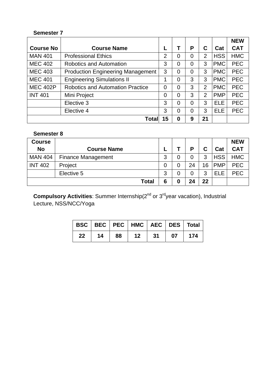## **Semester 7**

|                  |                                          |                |   |                |                |            | <b>NEW</b> |
|------------------|------------------------------------------|----------------|---|----------------|----------------|------------|------------|
| <b>Course No</b> | <b>Course Name</b>                       |                |   | Р              | С              | Cat        | <b>CAT</b> |
| <b>MAN 401</b>   | <b>Professional Ethics</b>               | $\overline{2}$ | 0 | 0              | $\overline{2}$ | <b>HSS</b> | <b>HMC</b> |
| <b>MEC 402</b>   | <b>Robotics and Automation</b>           | 3              | 0 | 0              | 3              | <b>PMC</b> | <b>PEC</b> |
| <b>MEC 403</b>   | <b>Production Engineering Management</b> | 3              | 0 | 0              | 3              | <b>PMC</b> | <b>PEC</b> |
| <b>MEC 401</b>   | <b>Engineering Simulations II</b>        | 1              | 0 | 3              | 3              | <b>PMC</b> | <b>PEC</b> |
| <b>MEC 402P</b>  | <b>Robotics and Automation Practice</b>  | 0              | 0 | 3              | $\overline{2}$ | <b>PMC</b> | <b>PEC</b> |
| <b>INT 401</b>   | Mini Project                             | 0              | 0 | 3              | $\overline{2}$ | <b>PMP</b> | <b>PEC</b> |
|                  | Elective 3                               | 3              | 0 | 0              | 3              | <b>ELE</b> | <b>PEC</b> |
|                  | Elective 4                               | 3              | 0 | $\overline{0}$ | 3              | <b>ELE</b> | <b>PEC</b> |
|                  | <b>Tota</b>                              | 15             | 0 | 9              | 21             |            |            |

## **Semester 8**

| <b>Course</b>  |                           |              |   |    |    |            | <b>NEW</b> |
|----------------|---------------------------|--------------|---|----|----|------------|------------|
| <b>No</b>      | <b>Course Name</b>        |              |   | Р  | С  | Cat        | <b>CAT</b> |
| <b>MAN 404</b> | <b>Finance Management</b> |              | 3 | 0  | 3  | <b>HSS</b> | <b>HMC</b> |
| <b>INT 402</b> | Project                   |              | 0 | 24 | 16 | <b>PMP</b> | <b>PEC</b> |
|                | Elective 5                |              | 3 | 0  | 3  | ELE        | <b>PEC</b> |
|                |                           | <b>Total</b> | 6 | 24 | 22 |            |            |

**Compulsory Activities**: Summer Internship(2<sup>nd</sup> or 3<sup>rd</sup>year vacation), Industrial Lecture, NSS/NCC/Yoga

|    |    |    | BSC   BEC   PEC   HMC   AEC   DES   Total |                   |    |              |
|----|----|----|-------------------------------------------|-------------------|----|--------------|
| 22 | 14 | 88 | 12 <sup>1</sup>                           | $\blacksquare$ 31 | 07 | $\sqrt{174}$ |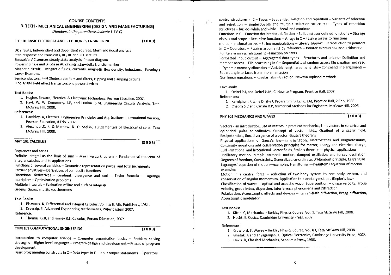#### **COURSE CONTENTS**

### B. TECH - MECHANICAL ENGINEERING (DESIGN AND MANUFACTURING)

(Numbers in the parenthesis indicate LTPC)

#### ELE 101 BASIC ELECTRICAL AND ELECTRONICS ENGINEERING

 $(3003)$ 

DC circuits, Independent and dependent sources. Mesh and nodal analysis Step response and transients, RC, RL and RLC circuits

Sinusoidal AC sources steady state analysis. Phasor diagram

Power in single and 3-phase AC circuits, star-delta transformation

Magnetic circuit - Magnetic fields, currents, magnetic flux density, inductance, Faraday's Laws-Examples

Semiconductors, P-N Diodes, rectifiers and filters, clipping and clamping circuits Bipolar and field effect transistors and power devices

#### **Text Books:**

- 1. Hughes Edward, Electrical & Electronic Technology, Pearson Education, 2007.
- 2. Hayt. W. W, Kemmerly. J.E, and Durbin. S.M, Engineering Circuits Analysis, Tata McGraw Hill, 2008.

#### **References:**

- 1. Hambley. A, Electrical Engineering Principles and Applications: International Version. Pearson Education, 4 Edn. 2007.
- 2. Alexander.C. K. & Mathew. N. O. Sadiku, Fundamentals of Electrical circuits, Tata McGraw Hill, 2008.

#### **MAT 101 CALCULUS**

 $(3003)$ 

Sequences and series

Definite integral as the limit of sum - Mean value theorem - Fundamental theorem of integral calculus and its applications

Functions of several variables - Geometric representation partial and total increments Partial derivatives - Derivatives of composite functions

Directional derivatives - Gradient, divergence and curl - Taylor formula - Lagrange multipliers - Optimization problems

Multiple integrals - Evaluation of line and surface integrals

Greens, Gauss, and Stokes theorems

#### **Text Books:**

1. Piskunov. N, Differential and Integral Calculus, Vol. 1 & II, Mir. Publishers, 1981.

2. Kreyszig. E, Advanced Engineering Mathematics, Wiley Eastern 2007.

#### Reference:

1. Thomas. G.B, and Finney R.L, Calculus, Person Education, 2007.

#### **COM 102 COMPUTATIONAL ENGINEERING**

 $(3003)$ 

Introduction to computer science - Computer organization basics - Problem solving strategies - Higher level languages - Program design and development - Phases of program development

Basic programming constructs in  $C-D$ ata types in  $C-$  Input output statements - Operators

control structures in C - Types - Sequential, selection and repetition - Variants of selection and repetition - Single/Double and multiple selection structures - Types of repetition structures - for, do-while and while - break and continue

Functions in C - Function declaration, definition - Built and user defined functions - Storage classes and scope -- Recursive functions -- Arrays in C -- Passing arrays to functions

multidimensional arrays - String manipulations - Library support - Introduction to pointers in  $C -$  Operators – Passing arguments by reference – Pointer expressions and arithmetic – Pointers & arrays relationship -Function pointers

Formatted input output - Aggregated data types - Structures and unions- Definition and member access - File processing in C - Sequential and random access file creation and read - Dynamic memory allocation - Variable length argument lists - Command line arguments -Separating interfaces from implementation

Non linear equations - Regular falsi - Bisection, Newton raphson methods

#### Text Book:

1. Deitel P.J, and Deitel H.M, C: How to Program, Prentice Hall, 2007.

**References:** 

1. Kernighan, Ritchie D, The C Programming Language, Prentice Hall, 2 Edn, 1988.

2. Chapra S.C and Canale R.P. Numerical Methods for Engineers, McGraw Hill, 2006.

#### PHY 105 MECHANICS AND WAVES

 $(3003)$ 

Vectors - an introduction, use of vectors in practical mechanics. Unit vectors in spherical and cylindrical polar co-ordinates, Concept of vector fields, Gradient of a scalar field, Equipotentials, flux, divergence of a vector, Gauss's theorem

Physical applications of Gauss's law-in gravitation, electrostatics and magnetostatics, Continuity equations and conservation principles for matter, energy and electrical charge, Curl -rotational and irrotational vector fields, Stoke's theorem-physical applications Oscillatory motion--simple harmonic motion, damped oscillation and forced oscillation, Degrees of freedom, Constraints, Generalized co-ordinate, D'Alambert principle, Lagrangian Lagranges' equation of motion-examples, Hamiltonian-Hamilton's equation of motion examples

Motion in a central force -- reduction of two-body system to one body system, and conservation of angular momentum, Application to planetary motions (Kepler's law) Classification of waves -- optical and acoustic wave, Superposition -- phase velocity, group velocity, group index, dispersion, Interference phenomena and Diffraction

Polarization, Acoustooptic effects and devices -- Raman-Nath diffraction, Bragg diffraction, Acoustooptic modulator

#### **Text Books:**

1. Kittle, C. Mechanics -- Berkley Physics Course, Vol. 1, Tata McGraw Hill, 2008.

2. Hecht. E, Optics, Cambridge University Press, 2002.

#### References:

- 1. Crawford. F, Waves Berkley Physics Course, Vol. 03, Tata McGraw Hill. 2008.
- 2. Ghatak. A and Thyagarajan. K, Optical Electronics, Cambridge University Press, 2002.
- 3. Davis. D. Classical Mechanics, Academic Press, 1986.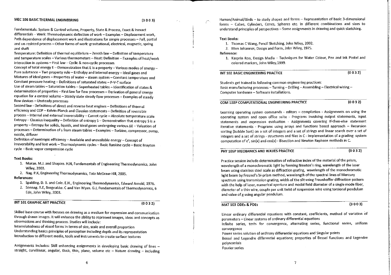#### MEC 106 BASIC THERMAL ENGINEERING

Fundamentals: System & Control volume, Property, State & Process, Exact & Inexact differentials - Work: Thermodynamic definition of work - Examples - Displacement work. Path dependence of displacement work and illustrations for simple processes - Full, partial and un-resisted process - Other forms of work: gravitational, electrical, magnetic, spring and shaft

Temperature: Definition of thermal equilibrium - Zeroth law - Definition of temperature and temperature scales - Various thermometers - Heat: Definition - Examples of heat/work interaction in systems - First law - Cyclic & non-cyclic processes

Concept of total energy  $E -$  Demonstration that E is a property  $-$  Various modes of energy -Pure substance - Two property rule - Enthalpy and internal energy - Ideal gases and Mixtures of ideal gases - Properties of water - steam system - Constant temperature and Constant pressure heating - Definitions of saturated states - P-V-T surface

Use of steam tables - Saturation tables - Superheated tables - Identification of states  $\&$ determination of properties - First law for flow processes - Derivation of general energy equation for a control volume - Steady state steady flow processes -- Examples of steady flow devices - Unsteady processes

Second law - Definitions of direct and reverse heat engines - Definitions of thermal efficiency and COP - Kelvin-Planck and Clausius statements - Definition of reversible process -- Internal and external irreversibility -- Carnot cycle -- Absolute temperature scale Entropy - Clausius inequality - Definition of entropy  $S$  - Demonstration that entropy S is a property - Entropy for solids, liquids, and ideal gases undergoing various  $\Delta E$  - Valuation of processes - Determination of s from steam tables - Examples - Turbine, compressor, pump. nozzle, diffuser

Definition of isentropic efficiency - Available and unavailable energy - Concept of irreversibility and lost work - Thermodynamic cycles -- Basic Rankine cycle -- Basic Brayton cycle - Basic vapor compression cycle

#### **Text Books:**

- 1. Moran. M.J. and Shapiro. H.N, Fundamentals of Engineering Thermodynamics, John Wiley, 2003.
- 2. Nag. P.K, Engineering Thermodynamics, Tata McGraw-Hill, 2005.

#### **References:**

- 1. Spalding. D. B. and Cole. E.H., Engineering Thermodynamics, Edward Arnold, 1976.
- 2. Sonnag. R.E., Borgnakke. C and Van Wyan. G.J., Fundamentals of Thermodynamics, 6 Edn, John Wiley, 2003.

#### **INT 101 GRAPHIC ART PRACTICE**

 $(0032)$ 

Skilled base course with focuses on drawing as a medium for expression and communication through drawn images. It will enhance the ability to represent images, ideas and concepts as observations and thinking process. Studies will include:

Interrelatedness of visual forms in terms of size, scale and overall proportion Understanding basics principles of perception including depth and its representation Introduction to different media, tools and instruments to create surface textures

Assignments includes: Skill enhancing assignments in developing basic drawing of lines straight, curvilinear, angular, thick, thin, plane, volume etc  $-$  Nature drawing  $-$  including Human/Animal/Birds - to study shapes and forms - Representation of basic 3-dimensional forms - Cubes, Cylinders, Cones, Spheres etc. in different combinations and sizes to understand principles of perspectives - Some assignments in drawing and quick sketching.

#### **Text Books:**

1. Thomas C Wang, Pencil Sketching, John Wiley, 2002.

2. Itten Johannes, Design and Form, John Wiley, 1975.

Reference:

1. Kasprin Ron, Design Media - Techniques for Water Colour, Pen and Ink Pastel and colored markers, John Wiley, 1999.

#### INT 102 BASIC ENGINEERING PRACTICE

 $(0032)$ 

Students get trained in following common engineering practices: Basic manufacturing processes - Turning - Drilling - Assembling - Electrical wiring -Computer hardware - Software installations.

COM 102P COMPUTATIONAL ENGINEERING PRACTICE

 $(0032)$ 

Learning operating system commands - editors - compilation - Assignments on using the operating system and open office suite - Programs involving output statements, input statements and expression evaluation - Assignments covering If-then-else statement iterative statements - Programs using arrays and functions based approach - Recursion sorting (bubble Sort) on a set of integers and a set of strings and linear search over a set of integers and a set of strings - structures and files in C - Implementation of a grading system computation of  $e^x$ ,  $sin(x)$  and  $cos(x)$  - Bisection and Newton Raphson methods in C.

#### PHY 105P MECHANICS AND WAVES PRACTICE

 $(0032)$ 

Practice session include determination of refractive index of the material of the prism, wavelength of a monochromatic light by forming Newton's ring, wavelength of the laser beam using stainless steel scale as diffraction grating, wavelength of the monochromatic light beam by Fresnel's bi-prism method, wavelength of the spectral lines of Mercury spectrum using transmission grating, width of the slit using Fraunhoffer diffraction pattern with the help of laser, numerical aperture and modal field diameter of a single mode fiber, diameter of a thin wire, couple per unit twist of suspension wire using torsional pendulum and value of g using angular pendulum.

#### MAT 103 ODEs & PDEs

 $(3003)$ 

Linear ordinary differential equations with constant, coefficients, method of variation of parameters - Linear systems of ordinary differential equations

Infinite series, tests for convergence, alternating series, functional series, uniform convergence

Power series solution of ordinary differential equations and Singular points

Bessel and Legendre differential equations; properties of Bessel functions and Legendre polynomials

**Fourier series**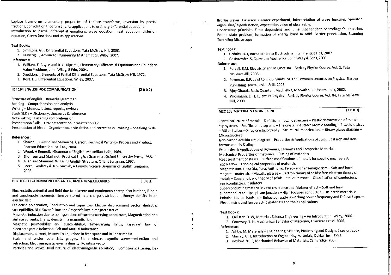Laplace transforms elementary properties of Laplace transforms, inversion by partial fractions, convolution theorem and its applications to ordinary differential equations Introduction to partial differential equations, wave equation, heat equation, diffusion equation. Green functions and its applications

#### **Text Books:**

- 1. Simmons. G.F, Differential Equations, Tata McGraw Hill, 2003.
- 2. Kreyszig. E, Advanced Engineering Mathematics, Wiley, 2007.

#### **References:**

- 1. William. E. Boyce and R. C. Diprima, Elementary Differential Equations and Boundary Value Problems, John Wiley, 8 Edn. 2004.
- 2. Sneddon. I. Elements of Partial Differential Equations, Tata McGraw Hill, 1972.
- 3. Ross. L.S. Differential Equations, Wiley. 2007.

#### INT 104 ENGLISH FOR COMMUNICATION

 $(2002)$ 

 $(3003)$ 

Structure of english - Remedial grammar

- Reading Comprehension and analysis
- Writing Memos, letters, reports, reviews
- Study Skills Dictionary, thesaurus & reference
- Note Taking Listening comprehension
- Presentation Skills Oral presentation, presentation aid

Presentation of Ideas - Organization, articulation and correctness - writing - Speaking Skills

#### **References:**

- 1. Sharon, J. Gerson and Steven M. Gerson, Technical Writing -- Process and Product. Pearson Education Pvt. Ltd., 2004.
- 2. Wood, A Remedial Grammar of English, Macmillan India, 1969.
- 3. Thomson and Martinet, Practical English Grammar, Oxford University Press, 1986.
- 4. Allen and Stannard. W, Living English Structure, Orient Longman, 1997.
- 5. Leech, Geoffrey & Jan Svartvik, A Communicative Grammar of English, Longman, 2003.

PHY 106 ELECTROMAGNETICS AND OUANTUM MECHANNICS

Electrostatic potential and field due to discrete and continuous charge distributions, Dipole and quadrupole moments, Energy stored in a charge distribution, Energy density in an electric field

Dielectric polarization, Conductors and capacitors, Electric displacement vector, dielectric susceptibility, Biot-Savart's law and Ampere's law in magnetostatics

Magnetic induction due to configurations of current-carrying conductors, Magnetization and surface currents, Energy density in a magnetic field

Magnetic permeability and susceptibility, Time-varying fields, Faradays' law of electromagnetic induction, Self and mutual inductance

Displacement current, Maxwell's equations in free space and in linear media

Scalar and vector potentials, gauges, Plane electromagnetic waves-reflection and refraction, Electromagnetic energy density, Poynting vector

Particles and waves, Dual nature of electromagnetic radiation, Compton scattering, De-

Broglie waves, Davisson-Germer experiment, interpretation of wave function, operator, eigenvalue/eigenfunction, expectation value of observable.

Uncertainty principle, Time dependent and time independent Schrödinger's equation, Bound state problem, formation of energy band in solid. Barrier penetration, Scanning **Tunneling Microscope** 

#### **Text Books:**

 $\chi^{\rm{max}}$  .

 $\frac{1}{2}$ 

ä

- 1. Grifiths. D. J, introduction to Electrodynamics, Prentice Hall, 2007.
- 2. Gasiorowicz, S. Quantum Mechanics, John Wiley & Sons, 2003.

#### References:

- 1. Purcell. E.M, Electricity and Magnetism Berkley Physics Course, Vol. 2, Tata McGraw Hill, 2008.
- 2. Feynman. R.P., Leighton. R.B., Sands. M., The Feynman Lectures on Physics, Narosa
- Publishing House, Vol. II & III, 2008.
- 3. Ajoy Ghatak, Basic Quantum Mechanics, Macmilan Publishers India, 2002.
- 4. Wichmann. E. H, Quantum Physics Berkley Physics Course, Vol. 04, Tata McGraw Hill, 2008.

#### MEC 108 MATERIALS ENGINEERING

 $(3003)$ 

Crystal structure of metals - Defects in metallic structure - Plastic deformation of metals -Slip systems - Equilibrium diagrams - The crystalline state: Atomic bonding - Bravais lattices - Miller indices - X-ray crystallography - Structural imperfections - Binary phase diagram Microstructure

Iron-carbon equilibrium diagram - Properties & Applications of Steel, Cast iron and nonferrous metals & alloys

Properties & Applications of Polymers, Ceramics and Composite Materials

Mechanical Properties of materials - Testing of materials

Heat treatment of steels -- Surface modifications of metals for specific engineering application - Tribological properties of materials

Magnetic materials: Dia, Para, Anti-ferro, Ferro- and ferri-magnetism - Soft and hard magnetic materials - Metallic glasses - Electron theory of solids: free electron theory of metals - Zone and band theory of solids - Brillouin zones - Classification of conductors, semiconductors, insulators

Superconducting materials: Zero resistance and Meisner effect - Soft and hard superconductor -- Josephson junction -- High Tc-super conductor -- Dielectric materials: Polarisation mechanisms -- Behaviour under switching power frequency and D.C. voltages --Piezoelectric and ferroelectric materials and their applications

#### **Text Books:**

1. Callister. D. W, Materials Science Engineering - An Introduction, Wiley, 2006.

2. Courtney, T. H, Mechanical Behavior of Materials, Overseas Press, 2006.

#### References:

- 1. Ashby. M, Materials Engineering, Science, Processing and Design, Elsevier, 2007.
- 2. Murray. G. T, Introduction to Engineering Materials, Dekker Inc., 1993.
- 3. Hosford. W. F, Mechanical Behavior of Materials, Cambridge, 2005.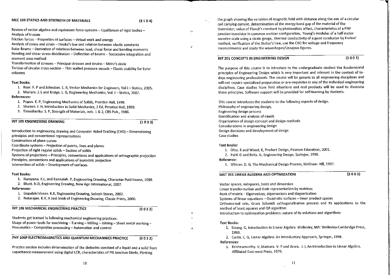#### MEC 109 STATICS AND STRENGTH OF MATERIALS

۰×.

À

 $\mathbf{a}$ 

ط

Review of vector algebra and equivalent force systems - Equilibrium of rigid bodies -Analysis of trusses

Friction forces - Properties of surfaces - virtual work and energy

Analysis of stress and strain - Hooke's law and relation between elastic constants Euler Beams - Derivation of relations between load, shear force and bending moments Bending and shear stress distribution - Deflection of beams - Successive integration and moment area method

Transformation of stresses -- Principal stresses and strains -- Mohr's circle

Torsion of circular cross-section -- Thin walled pressure vessels -- Elastic stability for Euler columns

#### **Text Books:**

1. Beer. F. P and Johnston. E. R, Vector Mechanics for Engineers, Vol I - Statics, 2005. 2. Meriam. J. L and Kraige. L. G, Engineering Mechanics, Vol. I - Statics, 2007.

- **References:** 
	- 1. Popov. E. P, Engineering Mechanics of Solids, Prentice Hall, 1998.
	- 2. Shames, I. H. Introduction to Solid Mechanics, 2 Ed. Prentice Hall, 1999.

3. Timoshenko. S. P. Strength of Materials, vols. 1 & 2. CBS Pub., 1986.

INT 105 ENGINEERING DRAWING

 $(1033)$ 

Introduction to engineering drawing and Computer Aided Drafting (CAD) - Dimensioning principles and conventional representations Construction of plane curves

Coordinate systems - Projection of points, lines and planes

Projection of right regular solids - Section of solids

Systems of projections - Principles, conventions and applications of orthographic projection Principles, conventions and applications of isometric projection

Intersection of solids - Development of surfaces

#### **Text Books:**

1. Narayana, K.L., and Kannaiah. P. Engineering Drawing. Charaotar Publ House. 1998.

2. Bhatt. N.D, Engineering Drawing, New Age International, 2007.

### **References:**

- 1. Gopalakrishnan. K.R, Engineering Drawing, Subash Stores, 2002.
- 2. Natarajan. K.V, A text book of Engineering Drawing, Classic Prints, 2000.

#### INT 106 MECHANICAL ENGINEERING PRACTICE

 $(0032)$ 

Students get trained in following mechanical engineering practices: Usage of power tools for machining - Turning - Milling - Joining - Sheet metal working -Pneumatics - Composites processing - Automation and control

#### PHY 106P ELECTROMAGNETICS AND QUANTUM MECHANNICS PRACTICE  $(0032)$

Practice session includes determination of the dielectric constant of a liquid and a solid from capacitance measurement using digital LCR, characteristics of PN Junction Diode, Plotting

the graph showing the variation of magnetic field with distance along the axis of a circular coil carrying current, determination of the energy band gap of the material of the thermistor, value of Planck's constant by photovoltaic effect, characteristics of a PNP junction transistor in common emitter configuration, Young's modulus of a half meter wooden scale using a strain gauge, thermal conductivity of a good conductor by Forbes' method, verification of the Stefan's Law, use the CRO for voltage and frequency measurements and study the waveshapes/Lissajous figures.

#### INT 201 CONCEPTS IN ENGINEERING DESIGN

 $(3003)$ 

The purpose of this course is to introduce to the undergraduate student the fundamental principles of Engineering Design which is very important and relevant in the context of todays engineering professionals. The course will be generic to all engineering disciplines and will not require specialized preparation or pre-requisites in any of the individual engineering disciplines. Case studies from field situations and real products will be used to illustrate these principles. Software support will be provided for self-learning by students.

This course introduces the students to the following aspects of design. Philosophy of engineering design, Engineering design process Identification and analysis of needs Organization of design concept and design methods Considerations in engineering design Design decisions and development of design Case studies

#### **Text Books:**

1. Otto. K and Wood, K, Product Design, Pearson Education, 2001.

- 2. Pahl. G and Beitz. G, Engineering Design, Springer, 1996.
- Reference:
	- 1. Ullman. D. G, The Mechanical Design Process, McGraw-Hill. 1997.

#### MAT 201 LINEAR ALGEBRA AND OPTIMIZATION

 $(3003)$ 

Vector spaces, subspaces, basis and dimension Linear transformation and their representation by matrices Rank of matrix - Eigenvalues, eigenvectors and diagonlization Systems of linear equations - Quadratic surfaces - Inner product spaces Orthonormal sets, Gram Schmidt orthogonalization process and its applications to the method of least squares and QR algorithm Introduction to optimization problems: nature of its solutions and algorithms

#### **Text Books:**

1. Strang. G, Introduction to Linear Algebra. Wellesley, MA: Wellesley-Cambridge Press, 1993.

2. Curtis. C. G. Linear Algebra: An Introductory Approach, Springer, 1994.

References:

1. Krishnamurthy. V, Mainara. V. P and Arora. J. I, An Introduction to Linear Algebra, Affiliated East-west Press, 1976.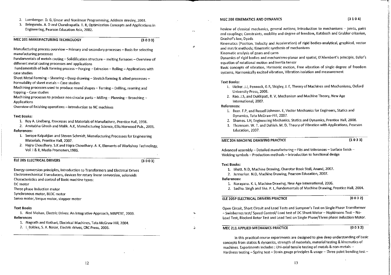- 2. Luenberger. D. G, Linear and Nonlinear Programming, Addison Wesley, 2003.
- 3. Belegundu. A. D and Chandrupatla. T. R, Optimization Concepts and Applications in Engineering, Pearson Education Asia, 2002.

#### MEC 201 MANUFACTURING TECHNOLOGY

 $(3003)$ 

 $\sim$ 

 $\theta$ 

 $\mathbf{v}$ 

Manufacturing process overview - Primary and secondary processes - Basis for selecting manufacturing processes

Fundamentals of metals casting - Solidification structure - melting furnaces - Overview of different metal casting processes and applications

Fundamentals of bulk forming process - Forging - Extrusion - Rolling - Applications with case studies

Sheet Metal Forming - Shearing - Deep drawing - Stretch forming & allied processes -Formability of sheet metals - Case studies

Machining processes used to produce round shapes - Turning - Drilling, reaming and tapping - Case studies

Machining processes to produce non circular parts - Milling - Planning - Broaching -**Applications** 

Overview of finishing operations - Introduction to NC machines

#### **Text Books:**

1. Roy A. Lindberg, Processes and Materials of Manufacture, Prentice Hall, 1998.

2. Amitabha Ghosh and Malik. A.K, Manufacturing Science, Ellis Horwood Pub., 2001. **References:** 

1. Serope Kalpakjian and Steven Schmidt, Manufacturing Processes for Engineering Materials, Prentice Hall, 2007.

2. Hajra Choudhary. S.K and Hajra Choudhary. A. K. Elements of Workshop Technology. Vol. 1 & II, Media Promoters, 1986.

**ELE 205 ELECTRICAL DRIVERS** 

 $(3003)$ 

Energy conversion principles, Introduction to Transformers and Electrical Drives Electromechanical Transducers, devices for rotary linear conversion, solenoids Characteristics and control of Basic machine types:

DC motor

Three phase Induction motor

Synchronous motor, BLDC motor Servo motor, torque motor, stepper motor

#### **Text Books**

|  | 1. Ned Mohan, Electric Drives: An Integrative Approach, MNPERE, 2003. |
|--|-----------------------------------------------------------------------|
|  | References                                                            |
|  | 1. Nagrath and Kothari, Electrical Machines, Tata McGraw Hill, 2004.  |
|  |                                                                       |

2. I. Boldea, S. A. Nasar, Electric drives, CRC Press, 2006.

#### MEC 208 KINEMATICS AND DYNAMICS

Review of classical mechanics, general notions; Introduction to mechanisms - joints, pairs and couplings: Constraints, mobility and degree of freedom, Kutzbach and Grubler criterion, Grashof's law. Dvads

Kinematics (Position, Velocity and Acceleration) of rigid bodies-analytical, graphical, vector and matrix methods: Kinematic synthesis of mechanisms

Kinematic analysis of gears and cams

Dynamics of rigid bodies and mechanisms-planar and spatial, D'Alembert's principle, Euler's equation of rotational motion and inertia tensor

Basic concepts of vibration, Harmonic motion, Free vibration of single degree of freedom systems, Harmonically excited vibration, Vibration isolation and measurement

#### **Text Books:**

- 1. Uicker. J.J. Pennock, G.R. Shigley, J. E. Theory of Machines and Mechanisms. Oxford University Press, 2008.
- 2. Rao. J.S, and Dukkipati, R. V, Mechanism and Machine Theory, New Age International, 2007.

#### References:

- 1. Beer, F.P. and Russell Johnson. E, Vector Mechanics for Engineers, Statics and Dynamics, Tata McGraw-Hill, 2007.
- 2. Shames. I.H, Engineering Mechanics, Statics and Dynamics, Prentice Hall, 2008.
- 3. Thomsom. W. T. and Dahleh. M. D, Theory of Vibration with Applications, Pearson Education, 2007.

#### MFC 204 MACHINE DRAWING PRACTICE

#### $(1033)$

Advanced assembly - Detailed manufacturing - Fits and tolerances - Surface finish -Welding symbols - Production methods - Introduction to functional design

#### **Text Books:**

- 1. Bhatt, N.D. Machine Drawing, Charotar Book Stall, Anand, 2007.
- 2. Junnarkar, N.D. Machine Drawing, Pearson Education, 2007.

#### **References:**

- 1. Narayana, K. L. Machine Drawing, New Age International, 2006.
- 2. Sadhu. Singh and Sha. P. L, Fundementals of Machine Drawing, Prentice Hall, 2004.

#### ELE 205P ELECTRICAL DRIVERS PRACTICE

 $(0032)$ 

Open Circuit, Short Circuit and Load Tests and Sumpner's Test on Single Phase Transformer - Swinbernes test/ Speed Control/ Load test of DC Shunt Motor - Hopkinsons Test - No-Load Test, Blocked Rotor Test and Load Test on Single Phase/Three phase Induction Motor.

#### MEC 211 APPLIED MECHANICS PRACTICE

 $(0032)$ 

In this practical course experiments are designed to give deep understanding of basic concepts from statics & dynamics, strength of materials, material testing & kinematics of machines. Experiments includes : Uni-axial tensile testing of metals & non-metals -Hardness testing - Spring test - Strain gauge principles & usage - Three point bending test -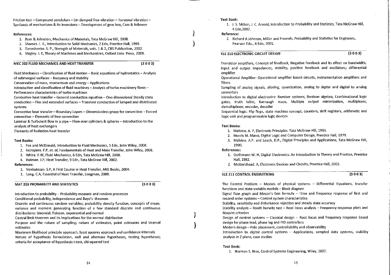Friction test - Compound pendulum - Un-damped free vibration - Torsional vibration -Synthesis of mechanisms & its inversions - Development of gear box. Cam & follower

#### **References:**

- 1. Beer & Johnston, Mechanics of Materials, Tata McGraw Hill, 2008.
- 2. Shames. I. H., Introduction to Solid Mechanics, 2 Edn, Prentice Hall, 1999.
- 3. Timoshenko, S. P., Strength of Materials, vols. 1 & 2. CBS Publication, 2002.
- 4. Shigley, J. E. Theory of Machines and Mechanisms. Oxford Univ. Press, 2008.

#### MEC 202 FLUID MECHANICS AND HEAT TRANSFER

 $(3003)$ 

Fluid Mechanics - Classification of fluid motion  $-$  Basic equations of hydrostatics - Analysis of submerged surfaces - Buoyancy and stability

Conservation of mass, momentum and energy - Applications

Introduction and classification of fluid machines - Analysis of turbo machinery flows -Performance characteristics of turbo machines

Conductive heat transfer - General conduction equation - One dimensional Steady state conduction -- Fins and extended surfaces -- Transient conduction of lumped and distributed systems

Convective heat transfer - Boundary Layers - Dimensionless group for convection - Forced convection - Elements of free convection

Laminar & Turbulent flow in a pipe - Flow over cylinders & spheres - Introduction to the analysis of heat exchangers

**Elements of Radiation heat transfer** 

#### **Text Books:**

- 1. Fox and McDonald, Introduction to Fluid Mechanics, 5 Edn, John Wiley, 2008.
- 2. Incropera. F.P. et. al, Fundamentals of Heat and Mass Transfer, John Wiley, 2006.
- 3. White, F.W. Fluid Mechanics, 6 Edn. Tata McGraw Hill, 2008.
- 4. Holman, J.P. Heat Transfer, 9 Edn, Tata McGraw Hill, 2002.

#### References:

- 1. Venkatesan. S.P. A First Course in Heat Transfer. ANE Books, 2004.
- 2. Long, C.A, Essential of Heat Transfer, Longman, 2000.

#### **MAT 203 PROBABILITY AND STATISTICS**

 $(3003)$ 

Introduction to probability - Probability measure and random processes

Conditional probability, independence and Baye's theorem

Discrete and continuous random variables; probability density function, concepts of mean, variance and moment generating function of a few standard discrete and continuous distributions: binomial, Poisson, exponential and normal

Central limit theorem and its implications for the normal distribution

Purpose and the nature of sampling; nature of estimates, point estimates and interval estimates

Maximum likelihood principle approach, least squares approach and confidence intervals Nature of hypothesis formulation, null and alternate hypotheses, testing hypotheses; criteria for acceptance of hypothesis t-test, chi-squared test

#### Text Book:

1. J. S. Milton, J. C. Arnold. Introduction to Probability and Statistics, Tata McGraw Hill, 4 Edn.2002.

#### Reference:

2. Richard A Johnson, Miller and Freunds, Probability and Statistics for Engineers. Pearson Edu., 6 Edn, 2001.

#### ELE 210 ELECTRONIC CIRCUIT DESIGN

 $(3003)$ 

Transistor amplifiers. Concept of feedback, Negative feedback and its effect on bandwidth, input and output impedances, stability, positive feedback and oscillators; differential amplifier

Operational Amplifier: Operational amplifier based circuits, instrumentation amplifiers and filters

Sampling of analog signals, aliasing, quantization, analog to digital and digital to analog **converters** 

Introduction to digital electronics: Number systems, Boolean algebra, Combinational logic gates, truth table, Karnaugh maps, Multiple output minimization, multiplexer, demultiplexer, encoder, decoder

Sequential logic: Flip flops, state machine concept, counters, shift registers, arithmetic and logic unit and programmable logic devices

#### **Text Books:**

- 1. Malvino, A. P. Electronic Principles. Tata McGraw Hill, 1993.
- 2. Morris M. Mano. Digital Logic and Computer Design, Prentice Hall, 1979.
- 3. Malvino, A.P. and Leach, D.P., Digital Principles and Applications, Tata McGraw Hill, 1990.

#### **References:**

- 1. Gothmann W. H, Digital Electronics: An Introduction to Theory and Practice, Prentice Hall. 1982.
- 2. Mottershead. A, Electronic Devices and Circuits, Prentice Hall. 2003.

#### FLE 211 CONTROL ENGINEERING

 $(3003)$ 

The Control Problem  $-$  Models of physical systems  $-$  Differential Equations, transfer functions and state variable models -- Block diagram

Signal flow graph and Mason's fain formula - Time and frequency response of first and second order systems - Control system characteristics

Stability, sensitivity and disturbance rejection and steady state accuracy

Stability analysis - Routh hurwitz test - Root locus analysis - Frequency response plots and Nyquist criterion

Design of control systems - Classical design -- Root locus and frequency response based design for phase lead, phase lag and PID controllers

Modern design - Pole placement, controllability and observability

Introduction to digital control systems - Applications, sampled data systems, stability analysis in Z plane, case studies

#### **Text Book:**

1. Norman S. Nise, Control Systems Engineering, Wiley, 2007.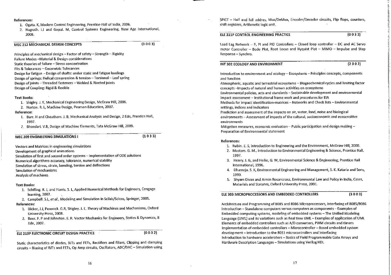#### References:

- 1. Ogata. K, Modern Control Engineering, Prentice-Hall of India, 2006.
- 2. Nagrath, I.J and Gopal, M. Control Systems Engineering, New Age International, 2008.

#### MEC 212 MECHANICAL DESIGN CONCEPTS

 $(3003)$ 

Principles of mechanical design - Factor of safety - Strength - Rigidity Failure Modes-Material & Design considerations Static theories of failure - Stress concentration Fits & Tolerances - Geometric Tolerances Design for fatigue - Design of shafts: under static and fatigue loadings Design of springs: Helical compression & tension - Torsional - Leaf spring Design of joints - Threaded fasteners - Welded & Riveted joints Design of Coupling: Rigid & flexible

#### **Text Books:**

- 1. Shigley. J. E. Mechanical Engineering Design, McGraw Hill, 2006.
- 2. Norton. R. L. Machine Design, Pearson Education, 2007.

#### Reference:

- 1. Burr. H and Cheatham. J. B, Mechanical Analysis and Design, 2 Edn, Prentice Hall, 1997.
- 2. Bhandari, V.B. Design of Machine Elements, Tata McGraw Hill, 2009.

#### MEC 209 ENGINEERING SIMULATIONS I

 $(1033)$ 

Vectors and Matrices in engineering simulations

Development of graphical animations

Simulation of first and second order systems -- Implementation of ODE solutions

Numerical algorithms-accuracy, tolerance, numerical stability

Simulation of stress, strain, bending, torsion and deflections

Simulation of mechanisms

**Analysis of machines** 

#### **Text Books:**

- 1. Schilling, R. J, and Harris. S. L, Applied Numerical Methods for Engineers, Cengage learning, 2007.
- 2. Campbell, S.L. et al., Modeling and Simulation in Scilab/Scicos, Springer, 2005.

#### **References:**

- 1. Uicker, J.J, Pennock. G.R, Shigley. J. E. Theory of Machines and Mechanisms, Oxford University Press, 2008.
- 2. Beer. F. P and Johnston. E. R. Vector Mechanics for Engineers, Statics & Dynamics, 8 Edn, 2007.

ELE 210P ELECTRONIC CIRCUIT DESIGN PRACTICE

 $(0032)$ 

Static characteristics of diodes, BJTs and FETs, Rectifiers and filters, Clipping and clamping circuits - Biasing of BJTs and FETs, Op Amp circuits, Oscillators, ADC/DAC - Simulation using

SPICE - Half and full addres, Mux/DeMux, Encoder/Decoder circuits, Flip flops, counters, shift registers. Arithmetic logic unit.

#### ELE 211P CONTROL ENGINEERING PRACTICE

 $(0032)$ 

Lead Lag Network - P, PI and PID Controllers - Closed loop controller - DC and AC Servo motor Controller - Bode Plot, Root Locus and Nyquist Plot - MIMO - Impulse and Step Response - Synchro.

#### INT 302 ECOLOGY AND ENVIRONMENT

 $(2002)$ 

Introduction to environment and ecology - Ecosystems - Principles concepts, components and function

Atmospheric, aquatic and terrestrial ecosystems - Biogeochemical cycles and limiting factor concepts - Impacts of natural and human activities on ecosystems

Environmental policies, acts and standards - Sustainable development and environmental impact assessment - Institutional frame work and procedures for EIA

Methods for impact identification-matrices - Networks and Check lists - Environmental settings, indices and indicators

Prediction and assessment of the impacts on air, water, land, noise and biological environments -- Assessment of impacts of the cultural, socioeconomic and ecosensitive environments

Mitigation measures, economic evaluation - Public participation and design making ~ Preparation of Environmental statement

#### **References:**

- 1. Rubin, E. S. Introduction to Engineering and the Environment, McGraw Hill, 2000.
- 2. Masters. G. M., Introduction to Environmental Engineering & Science, Prentice Hall, 1997.
- 3. Henry, J. G, and Heike, G. W, Environmental Science & Engineering, Prentice Hall International, 1996.
- 4. Dhameia, S. K. Environmental Engineering and Management, S. K. Kataria and Sons, 1999.
- 5. Shyam Divan and Armin Rosancranz, Environmental Law and Policy in India, Cases, Materials and Statutes. Oxford University Press, 2001.

#### ELE 303 MICROPROCESSORS AND EMBEDDED CONTROLLERS

 $(3003)$ 

Architecture and Programming of 8085 and 8086 Microprocessors, interfacing of 8085/8086 Introduction - Standalone computers versus computers as components - Examples of Embedded computing systems, modeling of embedded systems - The Unified Modeling Language (UML) and its variations such as Real time UML - Examples of application of UML Elements of embedded controllers such as A/D converters, PWM circuits and timers Implementation of embedded controllers - Microcontroller - Based embedded system development - Introduction to the 8051 microcontrollers and interfacing Introduction to hardware accelerators - Basics of Field Programmable Gate Arrays and Hardware Description Languages - Simulations using Verilog HDL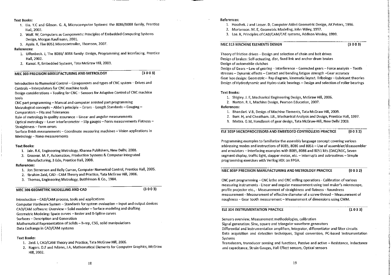#### **Text Books:**

- 1. Liu, Y.C and Gibson. G. A. Microcomputer Systems: the 8086/8088 family, Prentice Hall. 2002.
- 2. Wolf. W. Computers as Components: Principles of Embedded Computing Systems Design, Morgan Kaufmann, 2001.
- 3. Ayala. K, The 8051 Microcontroller, Thomson, 2007.

#### References:

- 1. Uffenbeck, J. The 8086/8088 family: Design, Programming and Interfacing, Prentice Hall. 2002.
- 2. Kamal. R, Embedded Systems, Tata McGraw Hill. 2003.

MEC 303 PRECISION MANUFACTURING AND METROLOGY

 $(3003)$ 

Introduction to Numerical Control - Components and types of CNC system - Drives and Controls - Interpolators for CNC machine tools

Design considerations - Tooling for CNC - Sensors for Adaptive Control of CNC machine tools

CNC part programming - Manual and computer assisted part programming

Metrological concepts - Abbe's principle - Errors - Length Standards - Gauging -**Comparators - Fits and Tolerances** 

Role of metrology in quality assurance - Linear and angular measurements

Optical metrology - Laser interferometer - Slip gauges - Form measurements Flatness -Straightness - Form errors

Surface finish measurements - Coordinate measuring machines - Vision applications in Metrology - Nano measurements

#### **Text Books:**

- 1. Jain. R.K, Engineering Metrology, Khanna Publishers, New Delhi, 2008.
- 2. Groover, M. P. Automation, Production Systems & Computer Integrated Manufacturing, 3 Edn, Prentice Hall, 2008.

#### **References:**

- 1. Jon Stenerson and Kelly Curran, Computer Numerical Control, Prentice Hall, 2005.
- 2. Ibrahim Zeid, CAD CAM Theory and Practice, Tata McGraw Hill, 2006.
- 3. Thomas, Engineering Metrology, Butthinson & Co., 1984.

#### MEC 306 GEOMETRIC MODELLING AND CAD

 $(3003)$ 

Introduction - CAD/CAM process, tools and applications

Computer Hardware System - Standards for system evaluation - Input and output devices CAD/CAM software: Overview - Solid modeler - Surface modeling and drafting Geometric Modeling: Space curves - Bezier and B-Spline curves Surfaces - Description and Generation

Mathematical Representation of Solids - B-rep, CSG, solid manipulations Data Exchange in CAD/CAM systems

#### **Text Books:**

- 1. Zeid. I. CAD/CAM Theory and Practice, Tata McGraw Hill, 2006.
- 2. Rogers. D.F and Adams, J.A, Mathematical Elements for Computer Graphics, McGraw Hill, 2002.

#### References:

- 1. Hoschek, J and Lasser, D. Computer Aided Geometric Design, AK Peters, 1996.
- 2. Mortenson, M. E. Geometric Modeling, John Wiley, 1997.
- 3. Lee. K, Principles of CAD/CAM/CAE systems, Addison Wesley, 1999.

#### MEC 313 MACHINE ELEMENTS DESIGN

 $(3003)$ 

Theory of friction drives - Design and selection of chain and belt drives Design of brakes: Self-actuating, disc, fixed link and anchor drum brakes Design of automobile clutches

Design of Gears - Law of gearing - Interference - Corrected gears - Force analysis - Tooth stresses - Dynamic effects - Contact and bending fatigue strength -Gear accuracy Gear box design: Geometric -- Ray diagram, kinematic layout. Tribology -- Lubricant theories Design of Hydrodynamic and Hydro-static bearings - Design and selection of roller bearings

#### **Text Books:**

- 1. Shigley, J. E. Mechanical Engineering Design, McGraw Hill, 2006.
- 2. Norton, R. L. Machine Design, Pearson Education, 2007.

#### References:

- 1. Bhandari, V.B, Design of Machine Elements, Tata McGraw Hill, 2009.
- 2. Burr, H. and Cheatham, J.B., Mechanical Analysis and Design, Prentice Hall, 1997.
- 3. Maitra, G.M, Handbook of gear design, Tata McGraw-Hill, New Delhi 2003.

#### ELE 303P MICROPROCESSORS AND EMBEDDED CONTROLLERS PRACTICE  $(0032)$

Programming examples to familiarize the assembly language concept covering various addressing modes and instructions of 8085, 8086 and 8051 - Use of assembler/disassembler and emulators -- Interfacing examples with 8085, 8086 and 8051 kits (DAC/ADC, Seven segment display, traffic light, stepper motor, etc. - Interrupts and subroutines - Simple programming exercises with Verliog HDL on FPGA.

MEC 303P PRECISION MANUFACTURING AND METROLOGY PRACTICE  $(0032)$ 

CNC part programming – CNC lathe and CNC milling operations - Calibration of various measuring instruments - Linear and angular measurement using tool maker's microscope, profile projector etc., - Measurement of straightness and flatness - Roundness measurement - Measurement of effective diameter of a screw thread - Measurement of roughness - Gear tooth measurement - Measurement of dimensions using CMM.

#### ELE 304 INSTRUMENTATION PRACTICE

 $(1033)$ 

Sensors overview, Measurement methodologies, calibration Signal generation: Sine, square and triangular waveform generators Differential and instrumentation amplifiers, Integrator, differentiator and filter circuits Data acquisition and detection techniques, Signal conversion, PC-based Instrumentation Systems Transducers, transducer sensing and functions, Passive and active - Resistance, inductance

and capacitance, Strain Gauges, Hall Effect sensors, Optical sensors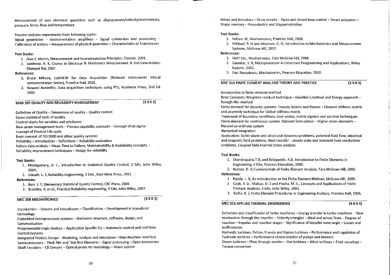Measurement of non electrical quantities such as displacement/velocity/acceleration, pressure, force, flow and temperature

Practice includes experiments from following topics:

Signal generation - Instrumentation amplifiers - Signal conversion and processing -Calibration of meters - Measurement of physical quantities - Characteristics of Transducers

#### **Text Books:**

- 1. Alan S. Morris, Measurement and Instrumentation Principles, Elsevier, 2001.
- 2. Sawhney. A. K, Course in Electrical & Electronics Measurement & Instrumentation, Dhanpat Rai. 2007.

#### **References:**

- 1. Bruce Mihura, LabVIEW for Data Acquisition (National Instruments Virtual Instrumentation Series), Prentice Hall, 2001.
- 2. Howard Austerlitz, Data acquisition techniques using PCs, Academic Press, 2nd Ed. 2002.

#### MAN 302 QUALITY AND RELIABILITY MANAGEMENT

 $(3003)$ 

Definition of Quality - Dimensions of quality - Quality control

Seven statistical tools of quality

Control charts for variables and attributes

New seven management tools - Process capability concepts - Concept of six sigma -

**Concept of Product Life cycle** 

Basic concept of ISO 9000 and other quality systems

Reliability - Introduction - Definitions - Reliability evaluation

Failure data analysis - Mean Time to Failure, Maintainability & Availability concepts -

Reliability improvement techniques - Design for reliability

#### **Text Books:**

1. Montgomery, D. C., Introduction to Statistical Quality Control, 5 Edn, John Wiley, 2004.

2. Srinath, L. S. Reliability Engineering, 3 Edn, East-West Press, 1991.

#### **References:**

- 1. Burr. J. T, Elementary Statistical Quality Control, CRC Press, 2004.
- 2. Bromley. R, et al., Practical Reliability engineering, 4 Edn, John Wiley, 2002.

#### MEC 308 MECHATRONICS

 $(3003)$ 

Introduction - Sensors and transducers - Classification - Development in transducer technology

Embedded microprocessor systems - Hardware structure, software, design, and Communication

Programmable Logic Devices - Application Specific ICs - Automatic control and real time **Control Systems** 

Integrated Product Design - Modeling, analysis and simulation - Man-Machine Interface Semiconductors - Thick film and Thin film Elements - Signal processing - Opto-electronics Shaft Encoders - CD Sensors - Optical probe for metrology - Vision system

Drives and Actuators - Drive circuits - Open and closed loop control - Smart actuators -Shape memory - Piezoelectric and Magnetostrictive

#### **Text Books:**

- 1. Bolton. W, Mechatronics, Prentice Hall, 2008.
- 2. Michael. B. H and Alciatore. G. D, Introduction to Mechatronics and Measurement Systems. McGraw Hill. 2007.

References:

- 1. HMT Ltd., Mechatronics, Tata McGraw Hill, 2008.
- 2. Gaonkar, S. R. Microprocessor Architecture Programming and Applications. Wiley Eastern, 2002.
- 3. Dan Necsulescu, Mechatronics, Pearson Education, 2002.

MEC 314 FINITE ELEMENT ANALYSIS THEORY AND PRACTICE

 $(3003)$ 

Introduction to finite element method

Basic Concepts: Weighted residual technique - Galerkin's method and Energy approach -Raleigh-Ritz method

Finite element for discrete systems: Trusses, beams and frames - Element stiffness matrix and assembly technique for Global stiffness matrix

Treatment of boundary conditions, load vector, matrix algebra and solution techniques Finite element for continuous system: Element formulation - Higher order elements -

Natural co-ordinate system

Numerical integration

Application: Solids-plane and structural dynamics problems, potential fluid flow. electrical and magnetic field problems, Heat transfer - steady state and transient heat conduction problems, Coupled field-thermal stress analysis

#### **Text Books:**

1. Chandrupatla.T.R. and Belegundu. A.D. Introduction to Finite Elements in Engineering, 3 Edn, Pearson Education, 2005.

2. Hutton. D. V.Fundamentals of Finite Element Analysis, Tata McGraw Hill, 2005.

#### References:

- 1. Reddy. J. N. An introduction to the Finite Element Method. McGraw Hill. 2005.
- 2 Cook, R. D., Malkus, D. S and Plesha. M. E., Concepts and Applications of Finite Element Analysis, 3 Edn, John Wiley, 2001.
- 3. Bathe, K. J. Finite Element Procedures in Engineering Analysis, Prentice Hall, 1996.

#### MEC 315 APPLIED THERMAL ENGINEERING

 $(4004)$ 

Definition and classification of turbo-machines - Energy transfer in turbo-machines - Flow mechanism through the impeller - Velocity triangles - Ideal and actual flows - Degree of reaction -- Impulse and reaction stages -- Significance of impeller vane angle -- Losses and inefficiencies

Hydraulic turbines: Pelton, Francis and Kaplan turbines -- Performance and regulation of hydraulic turbines - Performance characteristics of pumps and blowers

Steam turbines - Flow through nozzles - Gas turbines - Wind turbines - Fluid couplings -**Torque converters**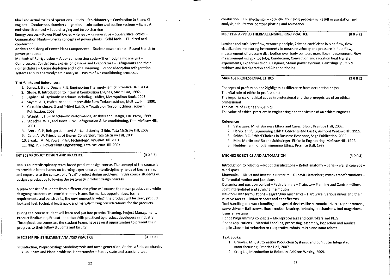Ideal and actual cycles of operations - Fuels - Stoichiometry - Combustion in SI and CI engines -- Combustion chambers -- Ignition -- Lubrication and cooling systems -- Exhaust emissions & control - Supercharging and turbo charging

Energy sources - Power Plant Cycles - Reheat - Regenerative - Supercritical cycles -Cogeneration Plants - Energy concepts of power plants - Solid fuels - Fluidized bed combustion

Analysis and sizing of Power Plant Components - Nuclear power plants - Recent trends in power production

Methods of Refrigeration - Vapor compression cycle - Thermodynamic analysis -Compressors, Condensers, Expansion devices and Evaporators - Refrigerants and their nomenclature - Ozone depletion and global warming - Vapor absorption refrigeration systems and its thermodynamic analysis - Basics of Air-conditioning processes

#### **Text Books and References:**

- 1. Jones, J. B and Dugan. R. E, Engineering Thermodynamics, Prentice Hall, 2004.
- 2. Stone. R, Introduction to Internal Combustion Engines, Macmillan, 1992.
- 3. Jagdish Lal, Hydraulic Machines including Fluidics, Metropolitan Book, 2003.
- 4. Savers, A. T. Hydraulic and Compressible Flow Turbomachines, McGraw Hill, 1990.
- 5. Gopalakrishnan. G and Prithvi Raj. D, A Treatise on Turbomachines, Scitech Publication, 2003.
- 6. Wright. T. Fluid Machinery: Performance, Analysis and Design, CRC Press, 1999.
- 7. Stoecker, W. F. and Jones, J. W. Refrigeration & Air-conditioning, Tata McGraw Hill, 2001.
- 8. Arora, C. P. Refrigeration and Air-conditioning, 2 Edn, Tata McGraw Hill, 2008.
- 9. Culp. A. W. Principles of Energy Conversion, Tata McGraw Hill, 2001.
- 10. Elwakil. M. M, Power Plant Technology, McGraw Hill. 2001.

11. Nag. P. K, Power Plant Engineering, Tata McGraw Hill, 2007.

#### INT 303 PRODUCT DESIGN AND PRACTICE

 $(0033)$ 

This is an interdisciplinary team-based product design course. The concept of the course is to provide a broad hands-on learning experience in interdisciplinary fields of Engineering and exposure to the context of a "real" product design problems. In this course students will design a product by following the systematic product design process.

A team consist of students from different discipline will choose their own product and while designing, students will consider many issues like market opportunities, formal requirements and constraints, the environment in which the product will be used, product look and feel; technical legitimacy, and manufacturing considerations for the products.

During the course student will learn and put into practice Teaming, Project Management, Product Realization, Ethical and other skills practiced by product developers in industry. Throughout the semester, the student teams have several opportunities to present their progress to their fellow students and faculty.

#### MEC 314P FINITE ELEMENT ANALYSIS PRACTICE

 $(0032)$ 

Introduction, Preprocessing: Modeling tools and mesh generation, Analysis: Solid mechanics - Truss. Beam and Plane problems. Heat transfer - Steady state and transient heat

conduction. Fluid mechanics - Potential flow, Post processing: Result presentation and analysis, tabultation, contour plotting and animation.

#### MEC 315P APPLIED THERMAL ENGINEERING PRACTICE

 $(0032)$ 

Laminar and turbulent flow, venture principle, Friction coefficient in pipe flow, flow visualization, measuring instruments to measure velocity and pressure in fluid flow. measurement of pressure distribution over body contour. mass flow measurement, Flow measurement using Pitot tube. Conduction. Convection and radiation heat transfer experiments. Experiments on IC Engines. Steam power systems. Centrifugal pump & turbines and Refrigeration and Air conditioning.

#### MAN 401 PROFESSIONAL ETHICS

#### $(2002)$

Concepts of profession and highlights its difference from occupation or job The vital role of ethics in professional The importance of ethical codes in professional and the prerequisites of an ethical professional The nature of engineering ethics The value of ethical practices in engineering and the virtues of an ethical engineer

#### References:

- 1. Velasquez. M. G. Business Ethics and Cases, 5 Edn, Prentice Hall, 2002.
- 2. Harris. et al., Engineering Ethics: Concepts and Cases, Belmont Wadsworth, 1995.
- 3. Sekha. R.C. Ethical Choices in Business Response, Sage Publication, 2002.
- 4. Mike Martin and Roland Schinzinger, Ethics in Engineering, McGraw Hill, 1996.
- 5. Fleddermann, C. D. Engineering Ethics, Prentice Hall, 1999.

#### MEC 402 ROBOTICS AND AUTOMATION

 $(3003)$ 

Introduction to robotics - Robot classifications - Robot anatomy - Serial-Parallel concept -Workspace

Kinematics - Direct and Inverse Kinematics - Denavit-Hartenberg matrix transformations -Differential motion and iacobians

Dynamics and position control - Path planning - Trajectory Planning and Control - Slew, Joint interpolated and straight line motion

Newton-Euler formulations - Lagrangian mechanics - Hardware: Various drives and their relative merits - Robot sensors and endeffectors

Tool handling and work handling and special devices like harmonic drives, stepper motors. servo drives - Ball screws, linear motion bearings, indexing mechanisms, tool magazines, transfer systems

Robot Programming concepts - Microprocessors and controllers and PLCs Robot applications - Material handling, processing, assembly, inspection and medical applications - Introduction to cooperative robots, micro and nano robots

#### **Text Books:**

- 1. Groover. M.P, Automation Production Systems, and Computer Integrated manufacturing, Prentice Hall, 2007.
- 2. Craig J. J, Introduction to Robotics, Addison Wesley, 2009.